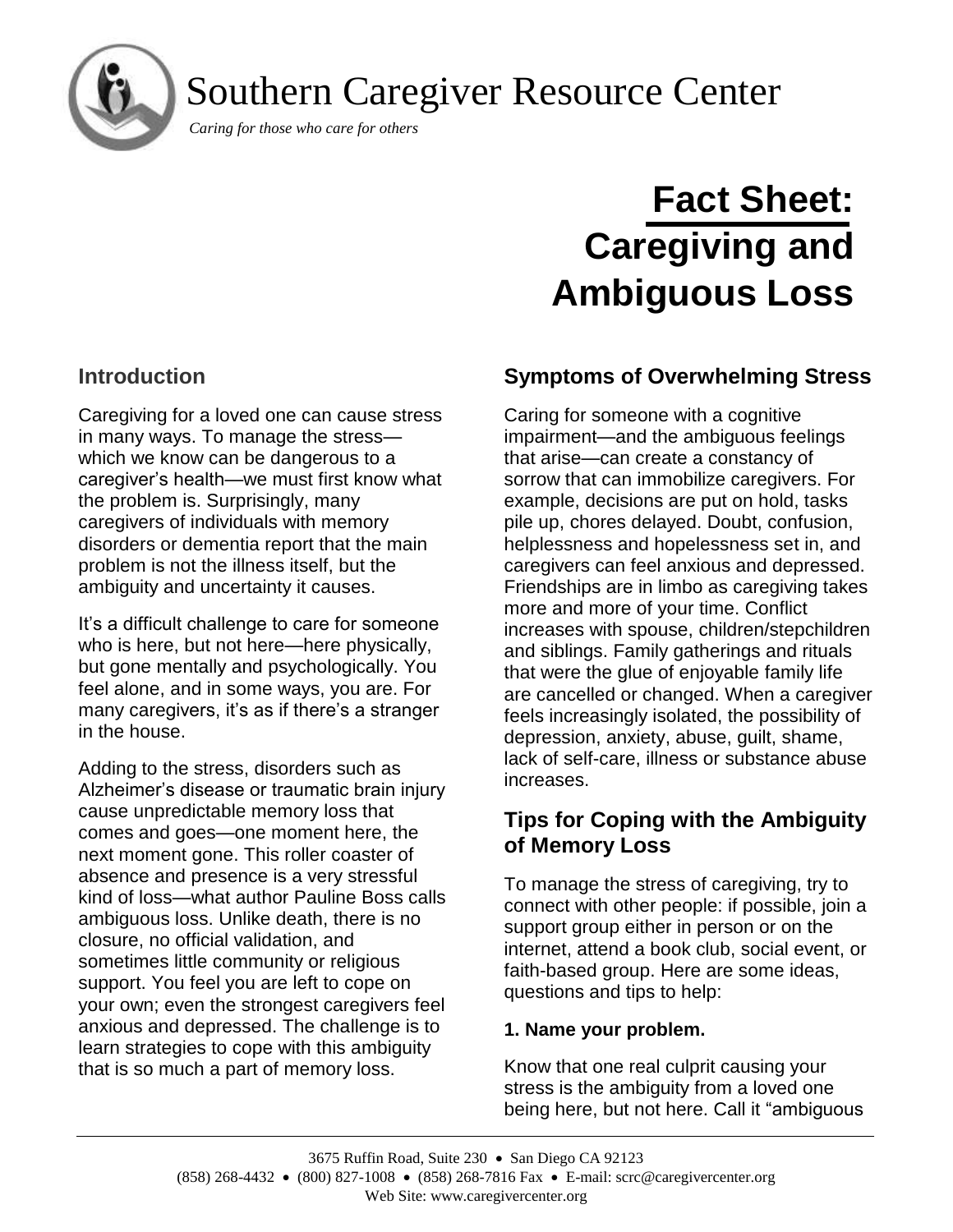Southern Caregiver Resource Center

*Caring for those who care for others*

# **Fact Sheet: Caregiving and Ambiguous Loss**

## **Introduction**

j

Caregiving for a loved one can cause stress in many ways. To manage the stress which we know can be dangerous to a caregiver's health—we must first know what the problem is. Surprisingly, many caregivers of individuals with memory disorders or dementia report that the main problem is not the illness itself, but the ambiguity and uncertainty it causes.

It's a difficult challenge to care for someone who is here, but not here—here physically, but gone mentally and psychologically. You feel alone, and in some ways, you are. For many caregivers, it's as if there's a stranger in the house.

Adding to the stress, disorders such as Alzheimer's disease or traumatic brain injury cause unpredictable memory loss that comes and goes—one moment here, the next moment gone. This roller coaster of absence and presence is a very stressful kind of loss—what author Pauline Boss calls ambiguous loss. Unlike death, there is no closure, no official validation, and sometimes little community or religious support. You feel you are left to cope on your own; even the strongest caregivers feel anxious and depressed. The challenge is to learn strategies to cope with this ambiguity that is so much a part of memory loss.

## **Symptoms of Overwhelming Stress**

Caring for someone with a cognitive impairment—and the ambiguous feelings that arise—can create a constancy of sorrow that can immobilize caregivers. For example, decisions are put on hold, tasks pile up, chores delayed. Doubt, confusion, helplessness and hopelessness set in, and caregivers can feel anxious and depressed. Friendships are in limbo as caregiving takes more and more of your time. Conflict increases with spouse, children/stepchildren and siblings. Family gatherings and rituals that were the glue of enjoyable family life are cancelled or changed. When a caregiver feels increasingly isolated, the possibility of depression, anxiety, abuse, guilt, shame, lack of self-care, illness or substance abuse increases.

## **Tips for Coping with the Ambiguity of Memory Loss**

To manage the stress of caregiving, try to connect with other people: if possible, join a support group either in person or on the internet, attend a book club, social event, or faith-based group. Here are some ideas, questions and tips to help:

#### **1. Name your problem.**

Know that one real culprit causing your stress is the ambiguity from a loved one being here, but not here. Call it "ambiguous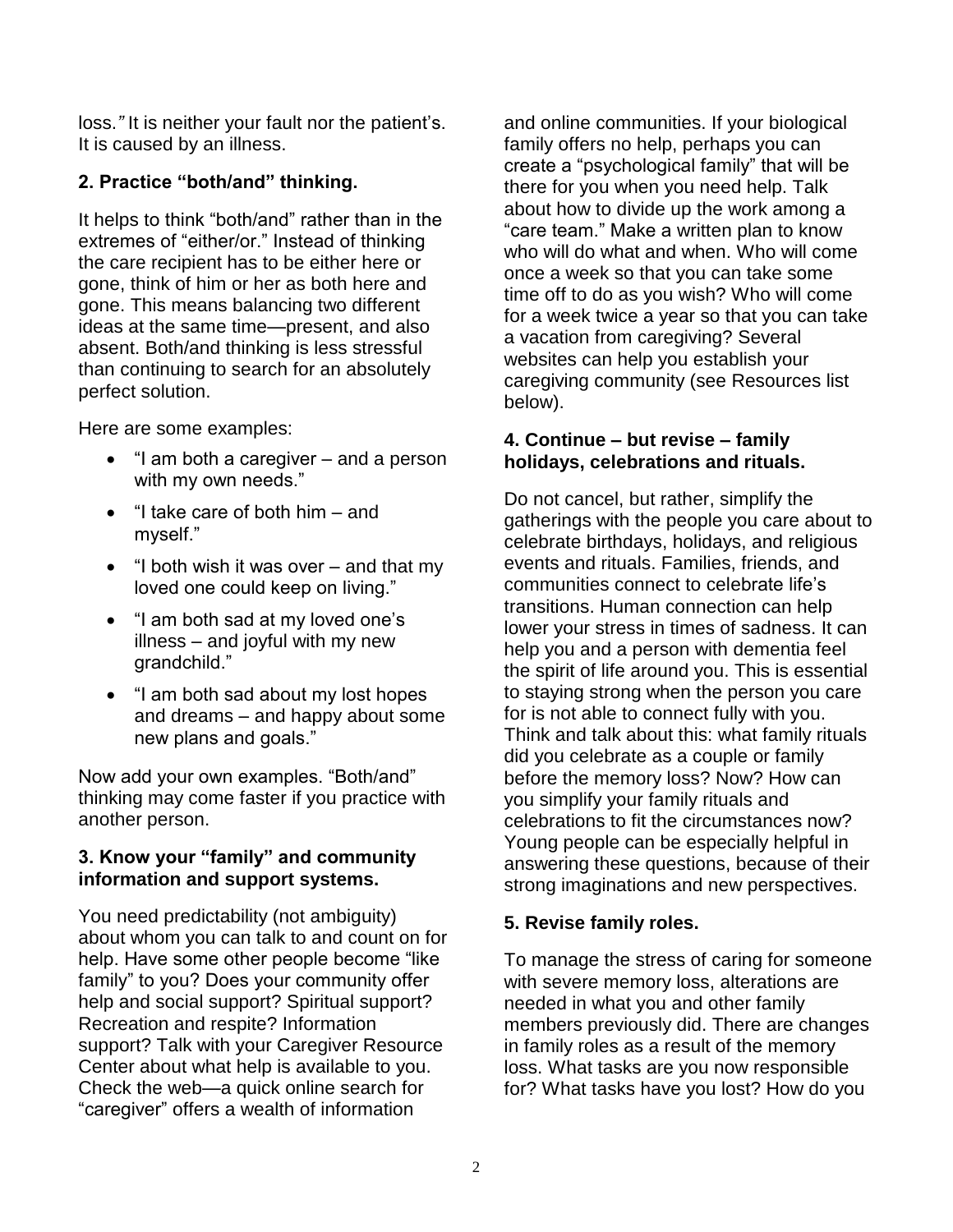loss.*"* It is neither your fault nor the patient's. It is caused by an illness.

## **2. Practice "both/and" thinking.**

It helps to think "both/and" rather than in the extremes of "either/or." Instead of thinking the care recipient has to be either here or gone, think of him or her as both here and gone. This means balancing two different ideas at the same time—present, and also absent. Both/and thinking is less stressful than continuing to search for an absolutely perfect solution.

Here are some examples:

- "I am both a caregiver and a person with my own needs."
- "I take care of both him and myself."
- "I both wish it was over and that my loved one could keep on living."
- "I am both sad at my loved one's illness – and joyful with my new grandchild."
- "I am both sad about my lost hopes and dreams – and happy about some new plans and goals."

Now add your own examples. "Both/and" thinking may come faster if you practice with another person.

#### **3. Know your "family" and community information and support systems.**

You need predictability (not ambiguity) about whom you can talk to and count on for help. Have some other people become "like family" to you? Does your community offer help and social support? Spiritual support? Recreation and respite? Information support? Talk with your Caregiver Resource Center about what help is available to you. Check the web—a quick online search for "caregiver" offers a wealth of information

and online communities. If your biological family offers no help, perhaps you can create a "psychological family" that will be there for you when you need help. Talk about how to divide up the work among a "care team." Make a written plan to know who will do what and when. Who will come once a week so that you can take some time off to do as you wish? Who will come for a week twice a year so that you can take a vacation from caregiving? Several websites can help you establish your caregiving community (see Resources list below).

#### **4. Continue – but revise – family holidays, celebrations and rituals.**

Do not cancel, but rather, simplify the gatherings with the people you care about to celebrate birthdays, holidays, and religious events and rituals. Families, friends, and communities connect to celebrate life's transitions. Human connection can help lower your stress in times of sadness. It can help you and a person with dementia feel the spirit of life around you. This is essential to staying strong when the person you care for is not able to connect fully with you. Think and talk about this: what family rituals did you celebrate as a couple or family before the memory loss? Now? How can you simplify your family rituals and celebrations to fit the circumstances now? Young people can be especially helpful in answering these questions, because of their strong imaginations and new perspectives.

## **5. Revise family roles.**

To manage the stress of caring for someone with severe memory loss, alterations are needed in what you and other family members previously did. There are changes in family roles as a result of the memory loss. What tasks are you now responsible for? What tasks have you lost? How do you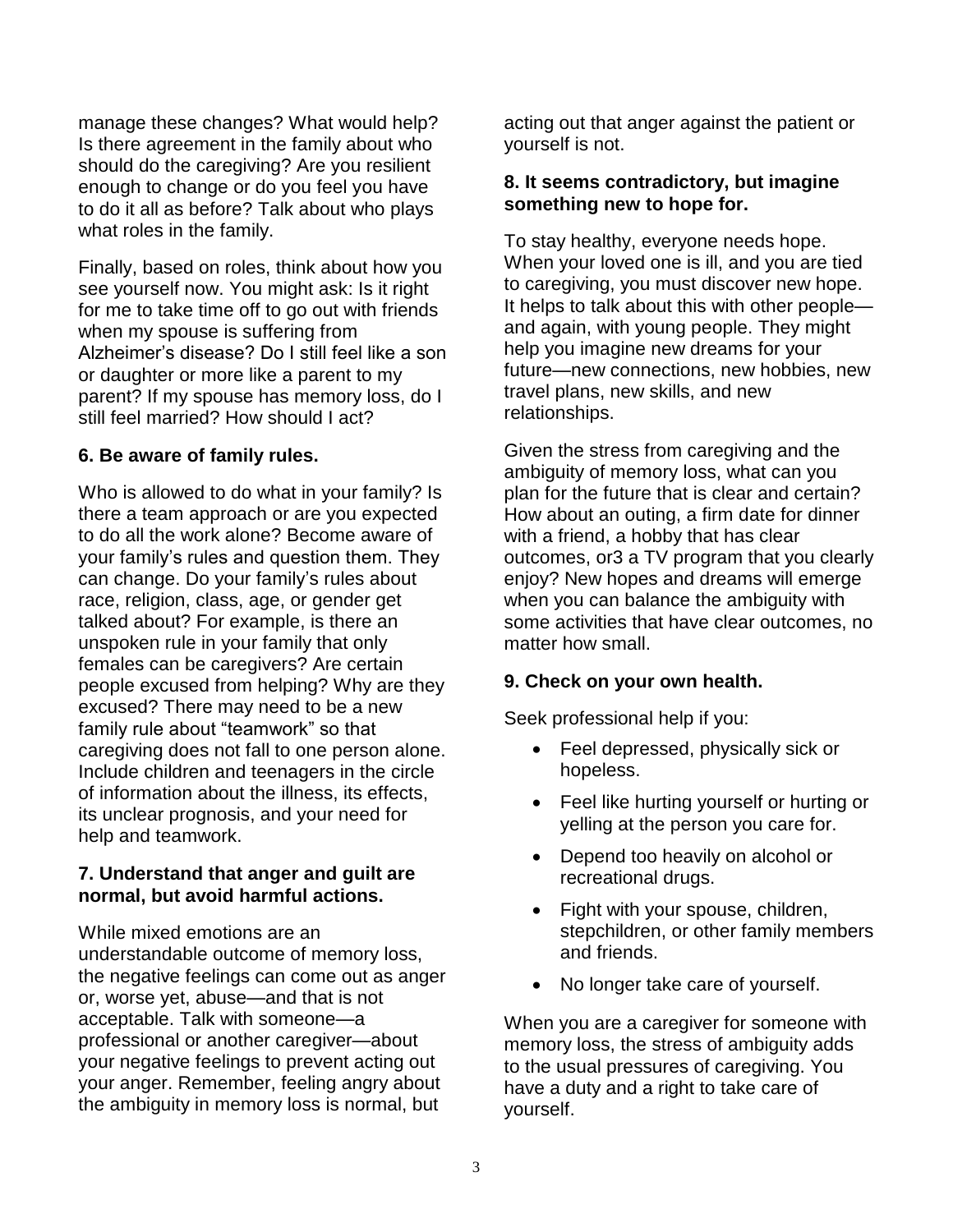manage these changes? What would help? Is there agreement in the family about who should do the caregiving? Are you resilient enough to change or do you feel you have to do it all as before? Talk about who plays what roles in the family.

Finally, based on roles, think about how you see yourself now. You might ask: Is it right for me to take time off to go out with friends when my spouse is suffering from Alzheimer's disease? Do I still feel like a son or daughter or more like a parent to my parent? If my spouse has memory loss, do I still feel married? How should I act?

#### **6. Be aware of family rules.**

Who is allowed to do what in your family? Is there a team approach or are you expected to do all the work alone? Become aware of your family's rules and question them. They can change. Do your family's rules about race, religion, class, age, or gender get talked about? For example, is there an unspoken rule in your family that only females can be caregivers? Are certain people excused from helping? Why are they excused? There may need to be a new family rule about "teamwork" so that caregiving does not fall to one person alone. Include children and teenagers in the circle of information about the illness, its effects, its unclear prognosis, and your need for help and teamwork.

#### **7. Understand that anger and guilt are normal, but avoid harmful actions.**

While mixed emotions are an understandable outcome of memory loss, the negative feelings can come out as anger or, worse yet, abuse—and that is not acceptable. Talk with someone—a professional or another caregiver—about your negative feelings to prevent acting out your anger. Remember, feeling angry about the ambiguity in memory loss is normal, but

acting out that anger against the patient or yourself is not.

#### **8. It seems contradictory, but imagine something new to hope for.**

To stay healthy, everyone needs hope. When your loved one is ill, and you are tied to caregiving, you must discover new hope. It helps to talk about this with other people and again, with young people. They might help you imagine new dreams for your future—new connections, new hobbies, new travel plans, new skills, and new relationships.

Given the stress from caregiving and the ambiguity of memory loss, what can you plan for the future that is clear and certain? How about an outing, a firm date for dinner with a friend, a hobby that has clear outcomes, or3 a TV program that you clearly enjoy? New hopes and dreams will emerge when you can balance the ambiguity with some activities that have clear outcomes, no matter how small.

#### **9. Check on your own health.**

Seek professional help if you:

- Feel depressed, physically sick or hopeless.
- Feel like hurting yourself or hurting or yelling at the person you care for.
- Depend too heavily on alcohol or recreational drugs.
- Fight with your spouse, children, stepchildren, or other family members and friends.
- No longer take care of yourself.

When you are a caregiver for someone with memory loss, the stress of ambiguity adds to the usual pressures of caregiving. You have a duty and a right to take care of yourself.